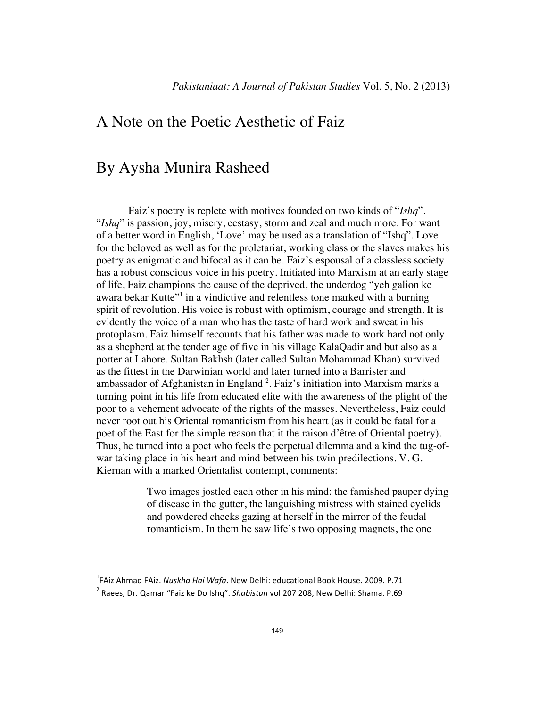## A Note on the Poetic Aesthetic of Faiz

## By Aysha Munira Rasheed

 Faiz's poetry is replete with motives founded on two kinds of "*Ishq*". "*Ishq*" is passion, joy, misery, ecstasy, storm and zeal and much more. For want of a better word in English, 'Love' may be used as a translation of "Ishq". Love for the beloved as well as for the proletariat, working class or the slaves makes his poetry as enigmatic and bifocal as it can be. Faiz's espousal of a classless society has a robust conscious voice in his poetry. Initiated into Marxism at an early stage of life, Faiz champions the cause of the deprived, the underdog "yeh galion ke awara bekar Kutte"<sup>1</sup> in a vindictive and relentless tone marked with a burning spirit of revolution. His voice is robust with optimism, courage and strength. It is evidently the voice of a man who has the taste of hard work and sweat in his protoplasm. Faiz himself recounts that his father was made to work hard not only as a shepherd at the tender age of five in his village KalaQadir and but also as a porter at Lahore. Sultan Bakhsh (later called Sultan Mohammad Khan) survived as the fittest in the Darwinian world and later turned into a Barrister and ambassador of Afghanistan in England<sup>2</sup>. Faiz's initiation into Marxism marks a turning point in his life from educated elite with the awareness of the plight of the poor to a vehement advocate of the rights of the masses. Nevertheless, Faiz could never root out his Oriental romanticism from his heart (as it could be fatal for a poet of the East for the simple reason that it the raison d'être of Oriental poetry). Thus, he turned into a poet who feels the perpetual dilemma and a kind the tug-ofwar taking place in his heart and mind between his twin predilections. V. G. Kiernan with a marked Orientalist contempt, comments:

> Two images jostled each other in his mind: the famished pauper dying of disease in the gutter, the languishing mistress with stained eyelids and powdered cheeks gazing at herself in the mirror of the feudal romanticism. In them he saw life's two opposing magnets, the one

<sup>!!!!!!!!!!!!!!!!!!!!!!!!!!!!!!!!!!!!!!!!!!!!!!!!!!!!!!!!!!!!</sup> 1 FAiz Ahmad!FAiz.!*Nuskha'Hai'Wafa*.!New!Delhi:!educational!Book!House.!2009. P.71

<sup>&</sup>lt;sup>2</sup> Raees, Dr. Qamar "Faiz ke Do Ishq". Shabistan vol 207 208, New Delhi: Shama. P.69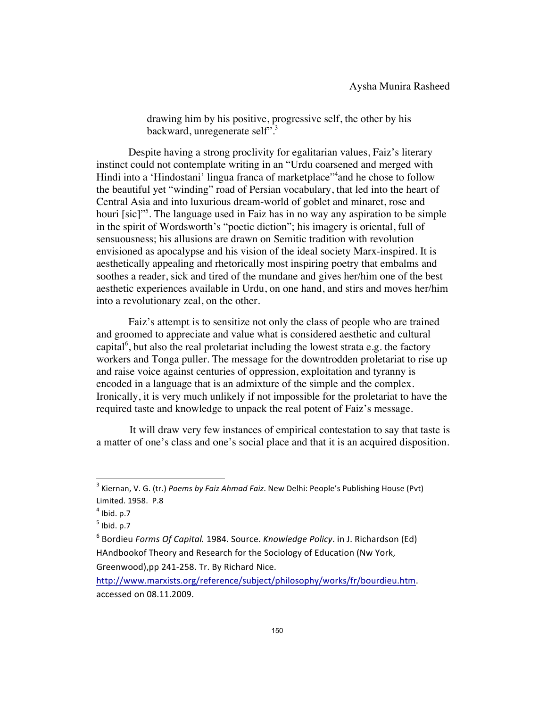drawing him by his positive, progressive self, the other by his backward, unregenerate self".<sup>3</sup>

 Despite having a strong proclivity for egalitarian values, Faiz's literary instinct could not contemplate writing in an "Urdu coarsened and merged with Hindi into a 'Hindostani' lingua franca of marketplace"<sup>4</sup> and he chose to follow the beautiful yet "winding" road of Persian vocabulary, that led into the heart of Central Asia and into luxurious dream-world of goblet and minaret, rose and houri [sic]"<sup>5</sup>. The language used in Faiz has in no way any aspiration to be simple in the spirit of Wordsworth's "poetic diction"; his imagery is oriental, full of sensuousness; his allusions are drawn on Semitic tradition with revolution envisioned as apocalypse and his vision of the ideal society Marx-inspired. It is aesthetically appealing and rhetorically most inspiring poetry that embalms and soothes a reader, sick and tired of the mundane and gives her/him one of the best aesthetic experiences available in Urdu, on one hand, and stirs and moves her/him into a revolutionary zeal, on the other.

 Faiz's attempt is to sensitize not only the class of people who are trained and groomed to appreciate and value what is considered aesthetic and cultural capital<sup>6</sup>, but also the real proletariat including the lowest strata e.g. the factory workers and Tonga puller. The message for the downtrodden proletariat to rise up and raise voice against centuries of oppression, exploitation and tyranny is encoded in a language that is an admixture of the simple and the complex. Ironically, it is very much unlikely if not impossible for the proletariat to have the required taste and knowledge to unpack the real potent of Faiz's message.

 It will draw very few instances of empirical contestation to say that taste is a matter of one's class and one's social place and that it is an acquired disposition.

<sup>&</sup>lt;sup>3</sup> Kiernan, V. G. (tr.) *Poems by Faiz Ahmad Faiz*. New Delhi: People's Publishing House (Pvt) Limited. 1958. P.8

 $<sup>4</sup>$  Ibid. p.7</sup>

 $<sup>5</sup>$  Ibid. p.7</sup>

<sup>&</sup>lt;sup>6</sup> Bordieu *Forms Of Capital.* 1984. Source. *Knowledge Policy*. in J. Richardson (Ed) HAndbookof Theory and Research for the Sociology of Education (Nw York, Greenwood),pp 241-258. Tr. By Richard Nice.

http://www.marxists.org/reference/subject/philosophy/works/fr/bourdieu.htm.! accessed on 08.11.2009.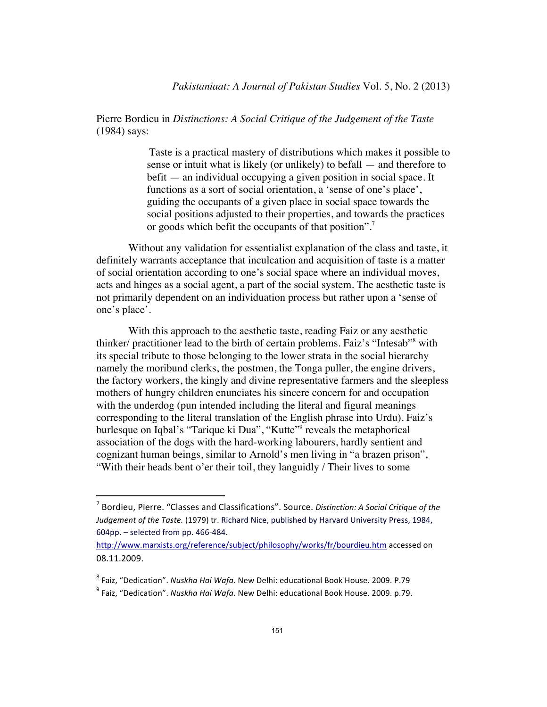Pierre Bordieu in *Distinctions: A Social Critique of the Judgement of the Taste*  (1984) says:

> Taste is a practical mastery of distributions which makes it possible to sense or intuit what is likely (or unlikely) to befall — and therefore to befit — an individual occupying a given position in social space. It functions as a sort of social orientation, a 'sense of one's place', guiding the occupants of a given place in social space towards the social positions adjusted to their properties, and towards the practices or goods which befit the occupants of that position".<sup>7</sup>

 Without any validation for essentialist explanation of the class and taste, it definitely warrants acceptance that inculcation and acquisition of taste is a matter of social orientation according to one's social space where an individual moves, acts and hinges as a social agent, a part of the social system. The aesthetic taste is not primarily dependent on an individuation process but rather upon a 'sense of one's place'.

 With this approach to the aesthetic taste, reading Faiz or any aesthetic thinker/ practitioner lead to the birth of certain problems. Faiz's "Intesab"<sup>8</sup> with its special tribute to those belonging to the lower strata in the social hierarchy namely the moribund clerks, the postmen, the Tonga puller, the engine drivers, the factory workers, the kingly and divine representative farmers and the sleepless mothers of hungry children enunciates his sincere concern for and occupation with the underdog (pun intended including the literal and figural meanings corresponding to the literal translation of the English phrase into Urdu). Faiz's burlesque on Iqbal's "Tarique ki Dua", "Kutte"<sup>9</sup> reveals the metaphorical association of the dogs with the hard-working labourers, hardly sentient and cognizant human beings, similar to Arnold's men living in "a brazen prison", "With their heads bent o'er their toil, they languidly / Their lives to some

<sup>&</sup>lt;sup>7</sup> Bordieu, Pierre. "Classes and Classifications". Source. *Distinction: A Social Critique of the Judgement of the Taste.* (1979) tr. Richard Nice, published by Harvard University Press, 1984,  $604$ pp. – selected from pp. 466-484.

http://www.marxists.org/reference/subject/philosophy/works/fr/bourdieu.htm accessed on 08.11.2009.

<sup>&</sup>lt;sup>8</sup> Faiz, "Dedication". *Nuskha Hai Wafa*. New Delhi: educational Book House. 2009. P.79

<sup>&</sup>lt;sup>9</sup> Faiz, "Dedication". *Nuskha Hai Wafa*. New Delhi: educational Book House. 2009. p.79.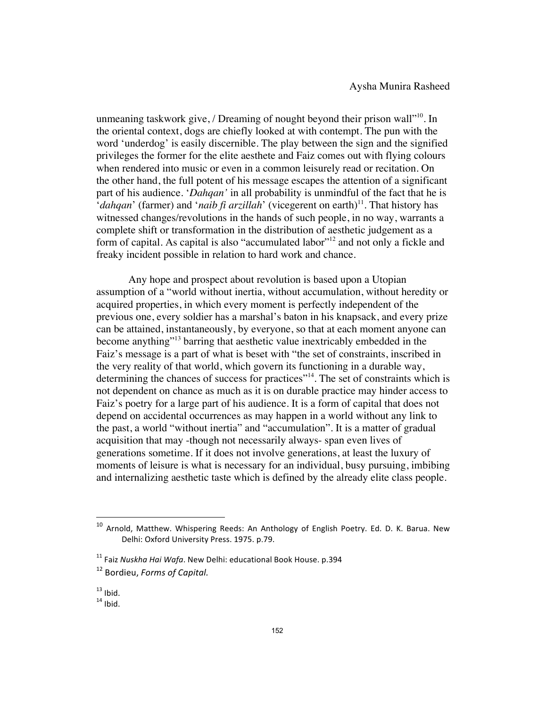unmeaning taskwork give, / Dreaming of nought beyond their prison wall $"^{10}$ . In the oriental context, dogs are chiefly looked at with contempt. The pun with the word 'underdog' is easily discernible. The play between the sign and the signified privileges the former for the elite aesthete and Faiz comes out with flying colours when rendered into music or even in a common leisurely read or recitation. On the other hand, the full potent of his message escapes the attention of a significant part of his audience. '*Dahqan'* in all probability is unmindful of the fact that he is '*dahqan*' (farmer) and '*naib fi arzillah*' (vicegerent on earth)<sup>11</sup>. That history has witnessed changes/revolutions in the hands of such people, in no way, warrants a complete shift or transformation in the distribution of aesthetic judgement as a form of capital. As capital is also "accumulated labor"<sup>12</sup> and not only a fickle and freaky incident possible in relation to hard work and chance.

 Any hope and prospect about revolution is based upon a Utopian assumption of a "world without inertia, without accumulation, without heredity or acquired properties, in which every moment is perfectly independent of the previous one, every soldier has a marshal's baton in his knapsack, and every prize can be attained, instantaneously, by everyone, so that at each moment anyone can become anything"13 barring that aesthetic value inextricably embedded in the Faiz's message is a part of what is beset with "the set of constraints, inscribed in the very reality of that world, which govern its functioning in a durable way, determining the chances of success for practices<sup>"14</sup>. The set of constraints which is not dependent on chance as much as it is on durable practice may hinder access to Faiz's poetry for a large part of his audience. It is a form of capital that does not depend on accidental occurrences as may happen in a world without any link to the past, a world "without inertia" and "accumulation". It is a matter of gradual acquisition that may -though not necessarily always- span even lives of generations sometime. If it does not involve generations, at least the luxury of moments of leisure is what is necessary for an individual, busy pursuing, imbibing and internalizing aesthetic taste which is defined by the already elite class people.

<sup>&</sup>lt;sup>10</sup> Arnold, Matthew. Whispering Reeds: An Anthology of English Poetry. Ed. D. K. Barua. New Delhi: Oxford University Press. 1975. p.79.

<sup>&</sup>lt;sup>11</sup> Faiz *Nuskha Hai Wafa*. New Delhi: educational Book House. p.394

<sup>&</sup>lt;sup>12</sup> Bordieu, *Forms of Capital*.

 $13$  Ibid.<br> $14$  Ibid.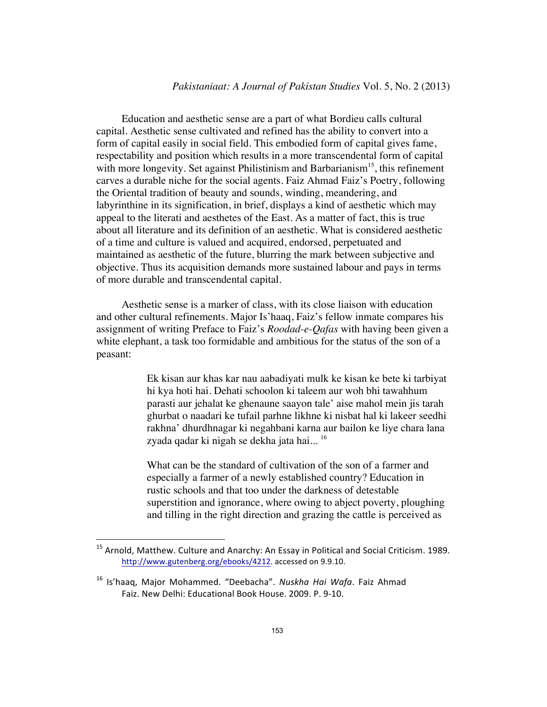## *Pakistaniaat: A Journal of Pakistan Studies* Vol. 5, No. 2 (2013)

Education and aesthetic sense are a part of what Bordieu calls cultural capital. Aesthetic sense cultivated and refined has the ability to convert into a form of capital easily in social field. This embodied form of capital gives fame, respectability and position which results in a more transcendental form of capital with more longevity. Set against Philistinism and Barbarianism<sup>15</sup>, this refinement carves a durable niche for the social agents. Faiz Ahmad Faiz's Poetry, following the Oriental tradition of beauty and sounds, winding, meandering, and labyrinthine in its signification, in brief, displays a kind of aesthetic which may appeal to the literati and aesthetes of the East. As a matter of fact, this is true about all literature and its definition of an aesthetic. What is considered aesthetic of a time and culture is valued and acquired, endorsed, perpetuated and maintained as aesthetic of the future, blurring the mark between subjective and objective. Thus its acquisition demands more sustained labour and pays in terms of more durable and transcendental capital.

Aesthetic sense is a marker of class, with its close liaison with education and other cultural refinements. Major Is'haaq, Faiz's fellow inmate compares his assignment of writing Preface to Faiz's *Roodad-e-Qafas* with having been given a white elephant, a task too formidable and ambitious for the status of the son of a peasant:

> Ek kisan aur khas kar nau aabadiyati mulk ke kisan ke bete ki tarbiyat hi kya hoti hai. Dehati schoolon ki taleem aur woh bhi tawahhum parasti aur jehalat ke ghenaune saayon tale' aise mahol mein jis tarah ghurbat o naadari ke tufail parhne likhne ki nisbat hal ki lakeer seedhi rakhna' dhurdhnagar ki negahbani karna aur bailon ke liye chara lana zyada qadar ki nigah se dekha jata hai...<sup>16</sup>

> What can be the standard of cultivation of the son of a farmer and especially a farmer of a newly established country? Education in rustic schools and that too under the darkness of detestable superstition and ignorance, where owing to abject poverty, ploughing and tilling in the right direction and grazing the cattle is perceived as

 $15$  Arnold, Matthew. Culture and Anarchy: An Essay in Political and Social Criticism. 1989. http://www.gutenberg.org/ebooks/4212. accessed on 9.9.10.

<sup>&</sup>lt;sup>16</sup> Is'haaq, Major Mohammed. "Deebacha". *Nuskha Hai Wafa*. Faiz Ahmad Faiz. New Delhi: Educational Book House. 2009. P. 9-10.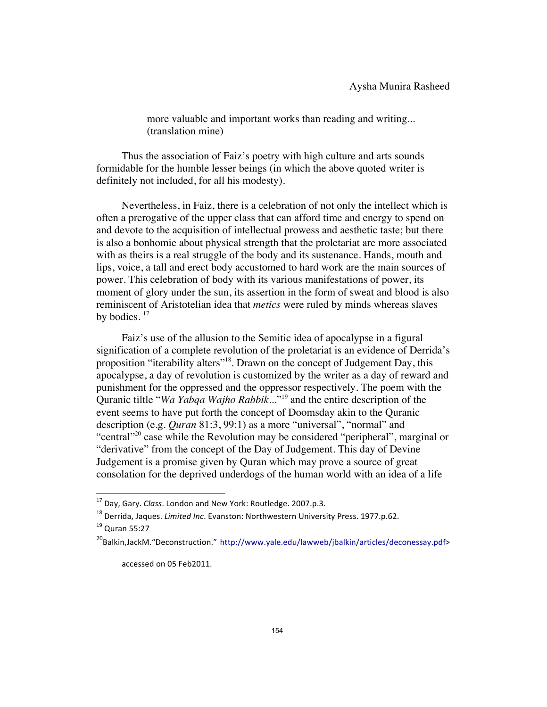more valuable and important works than reading and writing... (translation mine)

Thus the association of Faiz's poetry with high culture and arts sounds formidable for the humble lesser beings (in which the above quoted writer is definitely not included, for all his modesty).

Nevertheless, in Faiz, there is a celebration of not only the intellect which is often a prerogative of the upper class that can afford time and energy to spend on and devote to the acquisition of intellectual prowess and aesthetic taste; but there is also a bonhomie about physical strength that the proletariat are more associated with as theirs is a real struggle of the body and its sustenance. Hands, mouth and lips, voice, a tall and erect body accustomed to hard work are the main sources of power. This celebration of body with its various manifestations of power, its moment of glory under the sun, its assertion in the form of sweat and blood is also reminiscent of Aristotelian idea that *metics* were ruled by minds whereas slaves by bodies.  $17$ 

Faiz's use of the allusion to the Semitic idea of apocalypse in a figural signification of a complete revolution of the proletariat is an evidence of Derrida's proposition "iterability alters"18. Drawn on the concept of Judgement Day, this apocalypse, a day of revolution is customized by the writer as a day of reward and punishment for the oppressed and the oppressor respectively. The poem with the Quranic tiltle "*Wa Yabqa Wajho Rabbik*..."19 and the entire description of the event seems to have put forth the concept of Doomsday akin to the Quranic description (e.g. *Quran* 81:3, 99:1) as a more "universal", "normal" and "central"<sup>20</sup> case while the Revolution may be considered "peripheral", marginal or "derivative" from the concept of the Day of Judgement. This day of Devine Judgement is a promise given by Quran which may prove a source of great consolation for the deprived underdogs of the human world with an idea of a life

accessed on 05 Feb2011.

<sup>&</sup>lt;sup>17</sup> Day, Gary. *Class*. London and New York: Routledge. 2007.p.3.

<sup>&</sup>lt;sup>18</sup> Derrida, Jaques. *Limited Inc*. Evanston: Northwestern University Press. 1977.p.62.

 $19$  Quran 55:27

<sup>&</sup>lt;sup>20</sup>Balkin,JackM. "Deconstruction." http://www.yale.edu/lawweb/jbalkin/articles/deconessay.pdf>